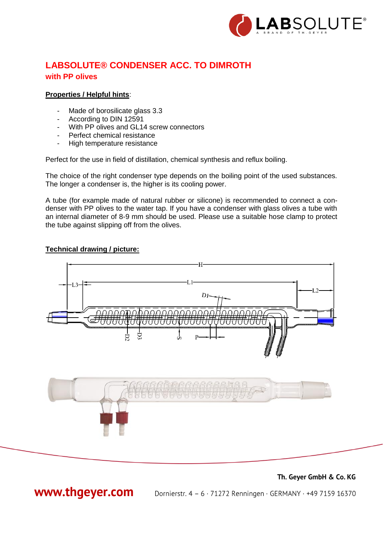

# **LABSOLUTE® CONDENSER ACC. TO DIMROTH with PP olives**

#### **Properties / Helpful hints**:

- Made of borosilicate glass 3.3
- According to DIN 12591
- With PP olives and GL14 screw connectors
- Perfect chemical resistance
- High temperature resistance

Perfect for the use in field of distillation, chemical synthesis and reflux boiling.

The choice of the right condenser type depends on the boiling point of the used substances. The longer a condenser is, the higher is its cooling power.

A tube (for example made of natural rubber or silicone) is recommended to connect a condenser with PP olives to the water tap. If you have a condenser with glass olives a tube with an internal diameter of 8-9 mm should be used. Please use a suitable hose clamp to protect the tube against slipping off from the olives.

#### **Technical drawing / picture:**



Th. Geyer GmbH & Co. KG

www.thgeyer.com

Dornierstr. 4 - 6 · 71272 Renningen · GERMANY · +49 7159 16370